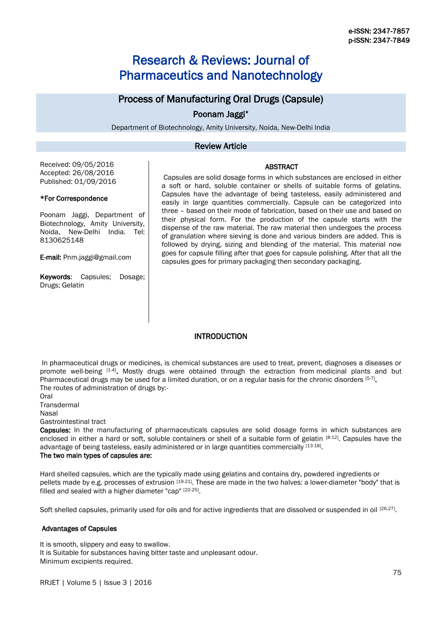# Research & Reviews: Journal of Pharmaceutics and Nanotechnology

# Process of Manufacturing Oral Drugs (Capsule)

# Poonam Jaggi\*

Department of Biotechnology, Amity University, Noida, New-Delhi India

# Review Article

Received: 09/05/2016 Accepted: 26/08/2016 Published: 01/09/2016

#### \*For Correspondence

Poonam Jaggi, Department of Biotechnology, Amity University, Noida, New-Delhi India. Tel: 8130625148

E-mail: Pnm.jaggi@gmail.com

**Keywords:** Capsules: Dosage: Drugs; Gelatin

Capsules are solid dosage forms in which substances are enclosed in either a soft or hard, soluble container or shells of suitable forms of gelatins. Capsules have the advantage of being tasteless, easily administered and easily in large quantities commercially. Capsule can be categorized into three – based on their mode of fabrication, based on their use and based on their physical form. For the production of the capsule starts with the dispense of the raw material. The raw material then undergoes the process of granulation where sieving is done and various binders are added. This is followed by drying, sizing and blending of the material. This material now goes for capsule filling after that goes for capsule polishing. After that all the capsules goes for primary packaging then secondary packaging.

ABSTRACT

# **INTRODUCTION**

In pharmaceutical drugs or medicines, is chemical substances are used to treat, prevent, diagnoses a diseases or promote well-being [1-4]. Mostly drugs were obtained through the extraction from medicinal plants and but Pharmaceutical drugs may be used for a limited duration, or on a regular basis for the chronic disorders [5-7]. The routes of administration of drugs by:-

Oral **Transdermal** Nasal

Gastrointestinal tract

Capsules: In the manufacturing of pharmaceuticals capsules are solid dosage forms in which substances are enclosed in either a hard or soft, soluble containers or shell of a suitable form of gelatin [8-12]. Capsules have the advantage of being tasteless, easily administered or in large quantities commercially [13-18].

## The two main types of capsules are:

Hard shelled capsules, which are the typically made using gelatins and contains dry, powdered ingredients or pellets made by e.g. processes of extrusion [19-21]. These are made in the two halves: a lower-diameter "body" that is filled and sealed with a higher diameter "cap" [22-25].

Soft shelled capsules, primarily used for oils and for active ingredients that are dissolved or suspended in oil [26,27].

## Advantages of Capsules

It is smooth, slippery and easy to swallow. It is Suitable for substances having bitter taste and unpleasant odour. Minimum excipients required.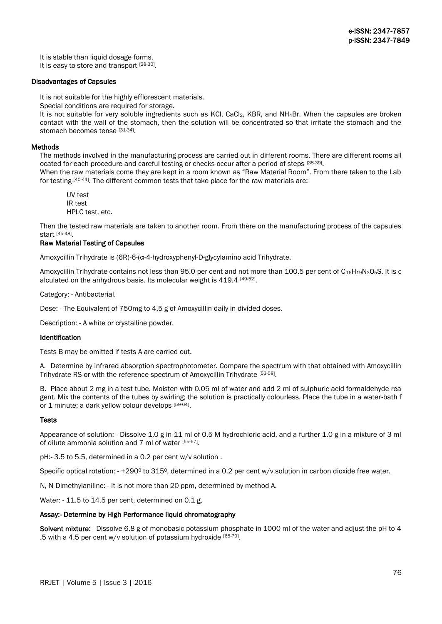It is stable than liquid dosage forms.

It is easy to store and transport [28-30].

#### Disadvantages of Capsules

It is not suitable for the highly efflorescent materials.

Special conditions are required for storage.

It is not suitable for very soluble ingredients such as KCI, CaCl<sub>2</sub>, KBR, and NH<sub>4</sub>Br. When the capsules are broken contact with the wall of the stomach, then the solution will be concentrated so that irritate the stomach and the stomach becomes tense [31-34].

### Methods

The methods involved in the manufacturing process are carried out in different rooms. There are different rooms all ocated for each procedure and careful testing or checks occur after a period of steps [35-39].

When the raw materials come they are kept in a room known as "Raw Material Room". From there taken to the Lab for testing [40-44]. The different common tests that take place for the raw materials are:

UV test IR test HPLC test, etc.

Then the tested raw materials are taken to another room. From there on the manufacturing process of the capsules start [45-48] .

#### Raw Material Testing of Capsules

Amoxycillin Trihydrate is (6R)-6-(α-4-hydroxyphenyl-D-glycylamino acid Trihydrate.

Amoxycillin Trihydrate contains not less than 95.0 per cent and not more than 100.5 per cent of C<sub>16</sub>H<sub>19</sub>N<sub>3</sub>O<sub>5</sub>S. It is c alculated on the anhydrous basis. Its molecular weight is 419.4 [49-52].

Category: - Antibacterial.

Dose: - The Equivalent of 750mg to 4.5 g of Amoxycillin daily in divided doses.

Description: - A white or crystalline powder.

### Identification

Tests B may be omitted if tests A are carried out.

A. Determine by infrared absorption spectrophotometer. Compare the spectrum with that obtained with Amoxycillin Trihydrate RS or with the reference spectrum of Amoxycillin Trihydrate [53-58].

B. Place about 2 mg in a test tube. Moisten with 0.05 ml of water and add 2 ml of sulphuric acid formaldehyde rea gent. Mix the contents of the tubes by swirling; the solution is practically colourless. Place the tube in a water-bath f or 1 minute; a dark yellow colour develops [59-64].

#### **Tests**

Appearance of solution: - Dissolve 1.0 g in 11 ml of 0.5 M hydrochloric acid, and a further 1.0 g in a mixture of 3 ml of dilute ammonia solution and 7 ml of water [65-67].

pH:- 3.5 to 5.5, determined in a 0.2 per cent w/v solution .

Specific optical rotation: - +290<sup>o</sup> to 315<sup>o</sup>, determined in a 0.2 per cent w/v solution in carbon dioxide free water.

N, N-Dimethylaniline: - It is not more than 20 ppm, determined by method A.

Water: - 11.5 to 14.5 per cent, determined on 0.1 g.

## Assay:- Determine by High Performance liquid chromatography

Solvent mixture: - Dissolve 6.8 g of monobasic potassium phosphate in 1000 ml of the water and adjust the pH to 4 .5 with a 4.5 per cent w/v solution of potassium hydroxide  $[68-70]$ .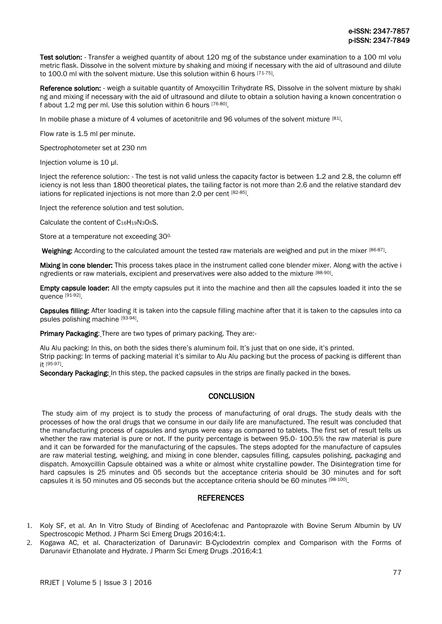Test solution: - Transfer a weighed quantity of about 120 mg of the substance under examination to a 100 ml volu metric flask. Dissolve in the solvent mixture by shaking and mixing if necessary with the aid of ultrasound and dilute to 100.0 ml with the solvent mixture. Use this solution within 6 hours [71-75].

Reference solution: - weigh a suitable quantity of Amoxycillin Trihydrate RS, Dissolve in the solvent mixture by shaki ng and mixing if necessary with the aid of ultrasound and dilute to obtain a solution having a known concentration o f about 1.2 mg per ml. Use this solution within 6 hours [76-80].

In mobile phase a mixture of 4 volumes of acetonitrile and 96 volumes of the solvent mixture [81].

Flow rate is 1.5 ml per minute.

Spectrophotometer set at 230 nm

Injection volume is 10 µl.

Inject the reference solution: - The test is not valid unless the capacity factor is between 1.2 and 2.8, the column eff iciency is not less than 1800 theoretical plates, the tailing factor is not more than 2.6 and the relative standard dev iations for replicated injections is not more than 2.0 per cent [82-85].

Inject the reference solution and test solution.

Calculate the content of  $C_{16}H_{19}N_3O_5S$ .

Store at a temperature not exceeding 30<sup>0</sup>

Weighing: According to the calculated amount the tested raw materials are weighed and put in the mixer [86-87].

Mixing in cone blender: This process takes place in the instrument called cone blender mixer. Along with the active i ngredients or raw materials, excipient and preservatives were also added to the mixture [88-90].

Empty capsule loader: All the empty capsules put it into the machine and then all the capsules loaded it into the se quence [91-92] .

Capsules filling: After loading it is taken into the capsule filling machine after that it is taken to the capsules into ca psules polishing machine [93-94].

Primary Packaging: There are two types of primary packing. They are:-

Alu Alu packing: In this, on both the sides there's aluminum foil. It's just that on one side, it's printed. Strip packing: In terms of packing material it's similar to Alu Alu packing but the process of packing is different than it [95-97] .

Secondary Packaging: In this step, the packed capsules in the strips are finally packed in the boxes.

## **CONCLUSION**

The study aim of my project is to study the process of manufacturing of oral drugs. The study deals with the processes of how the oral drugs that we consume in our daily life are manufactured. The result was concluded that the manufacturing process of capsules and syrups were easy as compared to tablets. The first set of result tells us whether the raw material is pure or not. If the purity percentage is between 95.0- 100.5% the raw material is pure and it can be forwarded for the manufacturing of the capsules. The steps adopted for the manufacture of capsules are raw material testing, weighing, and mixing in cone blender, capsules filling, capsules polishing, packaging and dispatch. Amoxycillin Capsule obtained was a white or almost white crystalline powder. The Disintegration time for hard capsules is 25 minutes and 05 seconds but the acceptance criteria should be 30 minutes and for soft capsules it is 50 minutes and 05 seconds but the acceptance criteria should be 60 minutes [98-100].

# **REFERENCES**

- 1. Koly SF, et al. An In Vitro Study of Binding of Aceclofenac and Pantoprazole with Bovine Serum Albumin by UV Spectroscopic Method. J Pharm Sci Emerg Drugs 2016;4:1.
- 2. Kogawa AC, et al. Characterization of Darunavir: Β-Cyclodextrin complex and Comparison with the Forms of Darunavir Ethanolate and Hydrate. J Pharm Sci Emerg Drugs .2016;4:1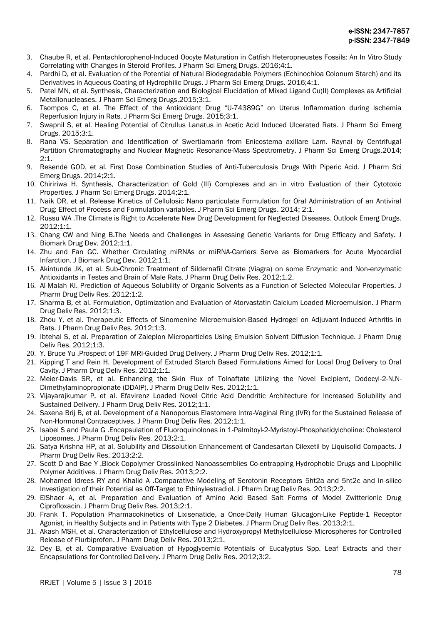- 3. Chaube R, et al. Pentachlorophenol-Induced Oocyte Maturation in Catfish Heteropneustes Fossils: An In Vitro Study Correlating with Changes in Steroid Profiles. J Pharm Sci Emerg Drugs. 2016;4:1.
- 4. Pardhi D, et al. Evaluation of the Potential of Natural Biodegradable Polymers (Echinochloa Colonum Starch) and its Derivatives in Aqueous Coating of Hydrophilic Drugs. J Pharm Sci Emerg Drugs. 2016;4:1.
- 5. Patel MN, et al. Synthesis, Characterization and Biological Elucidation of Mixed Ligand Cu(II) Complexes as Artificial Metallonucleases. J Pharm Sci Emerg Drugs.2015;3:1.
- 6. Tsompos C, et al. The Effect of the Antioxidant Drug "U-74389G" on Uterus Inflammation during Ischemia Reperfusion Injury in Rats. J Pharm Sci Emerg Drugs. 2015;3:1.
- 7. Swapnil S, et al. Healing Potential of Citrullus Lanatus in Acetic Acid Induced Ulcerated Rats. J Pharm Sci Emerg Drugs. 2015;3:1.
- 8. Rana VS. Separation and Identification of Swertiamarin from Enicostema axillare Lam. Raynal by Centrifugal Partition Chromatography and Nuclear Magnetic Resonance-Mass Spectrometry. J Pharm Sci Emerg Drugs.2014;  $2.1$
- 9. Resende GOD, et al. First Dose Combination Studies of Anti-Tuberculosis Drugs With Piperic Acid. J Pharm Sci Emerg Drugs. 2014;2:1.
- 10. Chiririwa H. Synthesis, Characterization of Gold (III) Complexes and an in vitro Evaluation of their Cytotoxic Properties. J Pharm Sci Emerg Drugs. 2014;2:1.
- 11. Naik DR, et al. Release Kinetics of Cellulosic Nano particulate Formulation for Oral Administration of an Antiviral Drug: Effect of Process and Formulation variables. J Pharm Sci Emerg Drugs. 2014; 2:1.
- 12. Russu WA .The Climate is Right to Accelerate New Drug Development for Neglected Diseases. Outlook Emerg Drugs. 2012;1:1.
- 13. Chang CW and Ning B.The Needs and Challenges in Assessing Genetic Variants for Drug Efficacy and Safety. J Biomark Drug Dev. 2012;1:1.
- 14. Zhu and Fan GC. Whether Circulating miRNAs or miRNA-Carriers Serve as Biomarkers for Acute Myocardial Infarction. J Biomark Drug Dev. 2012;1:1.
- 15. Akintunde JK, et al. Sub-Chronic Treatment of Sildernafil Citrate (Viagra) on some Enzymatic and Non-enzymatic Antioxidants in Testes and Brain of Male Rats. J Pharm Drug Deliv Res. 2012;1.2.
- 16. Al-Malah KI. Prediction of Aqueous Solubility of Organic Solvents as a Function of Selected Molecular Properties. J Pharm Drug Deliv Res. 2012;1:2.
- 17. Sharma B, et al. Formulation, Optimization and Evaluation of Atorvastatin Calcium Loaded Microemulsion. J Pharm Drug Deliv Res. 2012;1:3.
- 18. Zhou Y, et al. Therapeutic Effects of Sinomenine Microemulsion-Based Hydrogel on Adjuvant-Induced Arthritis in Rats. J Pharm Drug Deliv Res. 2012;1:3.
- 19. Ibtehal S, et al. Preparation of Zaleplon Microparticles Using Emulsion Solvent Diffusion Technique. J Pharm Drug Deliv Res. 2012;1:3.
- 20. Y. Bruce Yu .Prospect of 19F MRI-Guided Drug Delivery. J Pharm Drug Deliv Res. 2012;1:1.
- 21. Kipping T and Rein H. Development of Extruded Starch Based Formulations Aimed for Local Drug Delivery to Oral Cavity. J Pharm Drug Deliv Res. 2012;1:1.
- 22. Meier-Davis SR, et al. Enhancing the Skin Flux of Tolnaftate Utilizing the Novel Excipient, Dodecyl-2-N,N-Dimethylaminopropionate (DDAIP). J Pharm Drug Deliv Res. 2012;1:1.
- 23. Vijayarajkumar P, et al. Efavirenz Loaded Novel Citric Acid Dendritic Architecture for Increased Solubility and Sustained Delivery. J Pharm Drug Deliv Res. 2012;1:1.
- 24. Saxena Brij B, et al. Development of a Nanoporous Elastomere Intra-Vaginal Ring (IVR) for the Sustained Release of Non-Hormonal Contraceptives. J Pharm Drug Deliv Res. 2012;1:1.
- 25. Isabel S and Paula G .Encapsulation of Fluoroquinolones in 1-Palmitoyl-2-Myristoyl-Phosphatidylcholine: Cholesterol Liposomes. J Pharm Drug Deliv Res. 2013;2:1.
- 26. Satya Krishna HP, at al. Solubility and Dissolution Enhancement of Candesartan Cilexetil by Liquisolid Compacts. J Pharm Drug Deliv Res. 2013;2:2.
- 27. Scott D and Bae Y .Block Copolymer Crosslinked Nanoassemblies Co-entrapping Hydrophobic Drugs and Lipophilic Polymer Additives. J Pharm Drug Deliv Res. 2013;2:2.
- 28. Mohamed Idrees RY and Khalid A .Comparative Modeling of Serotonin Receptors 5ht2a and 5ht2c and In-silico Investigation of their Potential as Off-Target to Ethinylestradiol. J Pharm Drug Deliv Res. 2013;2:2.
- 29. ElShaer A, et al. Preparation and Evaluation of Amino Acid Based Salt Forms of Model Zwitterionic Drug Ciprofloxacin. J Pharm Drug Deliv Res. 2013;2:1.
- 30. Frank T. Population Pharmacokinetics of Lixisenatide, a Once-Daily Human Glucagon-Like Peptide-1 Receptor Agonist, in Healthy Subjects and in Patients with Type 2 Diabetes. J Pharm Drug Deliv Res. 2013;2:1.
- 31. Akash MSH, et al. Characterization of Ethylcellulose and Hydroxypropyl Methylcellulose Microspheres for Controlled Release of Flurbiprofen. J Pharm Drug Deliv Res. 2013;2:1.
- 32. Dey B, et al. Comparative Evaluation of Hypoglycemic Potentials of Eucalyptus Spp. Leaf Extracts and their Encapsulations for Controlled Delivery. J Pharm Drug Deliv Res. 2012;3:2.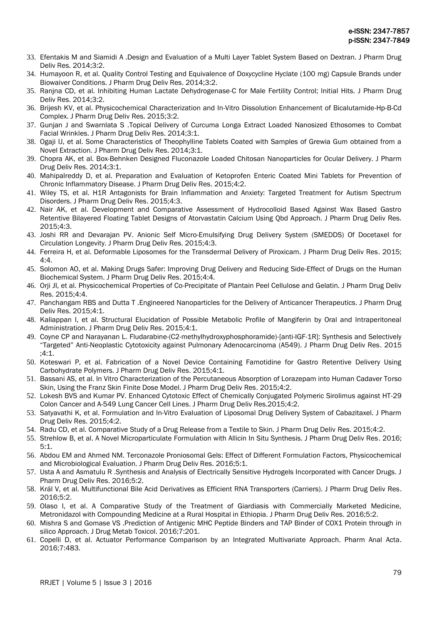- 33. Efentakis M and Siamidi A .Design and Evaluation of a Multi Layer Tablet System Based on Dextran. J Pharm Drug Deliv Res. 2014;3:2.
- 34. Humayoon R, et al. Quality Control Testing and Equivalence of Doxycycline Hyclate (100 mg) Capsule Brands under Biowaiver Conditions. J Pharm Drug Deliv Res. 2014;3:2.
- 35. Ranjna CD, et al. Inhibiting Human Lactate Dehydrogenase-C for Male Fertility Control; Initial Hits. J Pharm Drug Deliv Res. 2014;3:2.
- 36. Brijesh KV, et al. Physicochemical Characterization and In-Vitro Dissolution Enhancement of Bicalutamide-Hp-Β-Cd Complex. J Pharm Drug Deliv Res. 2015;3:2.
- 37. Gunjan J and Swarnlata S .Topical Delivery of Curcuma Longa Extract Loaded Nanosized Ethosomes to Combat Facial Wrinkles. J Pharm Drug Deliv Res. 2014;3:1.
- 38. Ogaji IJ, et al. Some Characteristics of Theophylline Tablets Coated with Samples of Grewia Gum obtained from a Novel Extraction. J Pharm Drug Deliv Res. 2014;3:1.
- 39. Chopra AK, et al. Box-Behnken Designed Fluconazole Loaded Chitosan Nanoparticles for Ocular Delivery. J Pharm Drug Deliv Res. 2014;3:1.
- 40. Mahipalreddy D, et al. Preparation and Evaluation of Ketoprofen Enteric Coated Mini Tablets for Prevention of Chronic Inflammatory Disease. J Pharm Drug Deliv Res. 2015;4:2.
- 41. Wiley TS, et al. H1R Antagonists for Brain Inflammation and Anxiety: Targeted Treatment for Autism Spectrum Disorders. J Pharm Drug Deliv Res. 2015;4:3.
- 42. Nair AK, et al. Development and Comparative Assessment of Hydrocolloid Based Against Wax Based Gastro Retentive Bilayered Floating Tablet Designs of Atorvastatin Calcium Using Qbd Approach. J Pharm Drug Deliv Res.  $2015:4:3$
- 43. Joshi RR and Devarajan PV. Anionic Self Micro-Emulsifying Drug Delivery System (SMEDDS) Of Docetaxel for Circulation Longevity. J Pharm Drug Deliv Res. 2015;4:3.
- 44. Ferreira H, et al. Deformable Liposomes for the Transdermal Delivery of Piroxicam. J Pharm Drug Deliv Res. 2015;  $4.4$
- 45. Solomon AO, et al. Making Drugs Safer: Improving Drug Delivery and Reducing Side-Effect of Drugs on the Human Biochemical System. J Pharm Drug Deliv Res. 2015;4:4.
- 46. Orji JI, et al. Physicochemical Properties of Co-Precipitate of Plantain Peel Cellulose and Gelatin. J Pharm Drug Deliv Res. 2015;4:4.
- 47. Panchangam RBS and Dutta T .Engineered Nanoparticles for the Delivery of Anticancer Therapeutics. J Pharm Drug Deliv Res. 2015;4:1.
- 48. Kaliappan I, et al. Structural Elucidation of Possible Metabolic Profile of Mangiferin by Oral and Intraperitoneal Administration. J Pharm Drug Deliv Res. 2015;4:1.
- 49. Coyne CP and Narayanan L. Fludarabine-(C2-methylhydroxyphosphoramide)-[anti-IGF-1R]: Synthesis and Selectively "Targeted" Anti-Neoplastic Cytotoxicity against Pulmonary Adenocarcinoma (A549). J Pharm Drug Deliv Res. 2015 ;4:1.
- 50. Koteswari P, et al. Fabrication of a Novel Device Containing Famotidine for Gastro Retentive Delivery Using Carbohydrate Polymers. J Pharm Drug Deliv Res. 2015;4:1.
- 51. Bassani AS, et al. In Vitro Characterization of the Percutaneous Absorption of Lorazepam into Human Cadaver Torso Skin, Using the Franz Skin Finite Dose Model. J Pharm Drug Deliv Res. 2015;4:2.
- 52. Lokesh BVS and Kumar PV. Enhanced Cytotoxic Effect of Chemically Conjugated Polymeric Sirolimus against HT-29 Colon Cancer and A-549 Lung Cancer Cell Lines. J Pharm Drug Deliv Res.2015;4:2.
- 53. Satyavathi K, et al. Formulation and In-Vitro Evaluation of Liposomal Drug Delivery System of Cabazitaxel. J Pharm Drug Deliv Res. 2015;4:2.
- 54. Radu CD, et al. Comparative Study of a Drug Release from a Textile to Skin. J Pharm Drug Deliv Res. 2015;4:2.
- 55. Strehlow B, et al. A Novel Microparticulate Formulation with Allicin In Situ Synthesis. J Pharm Drug Deliv Res. 2016; 5:1.
- 56. Abdou EM and Ahmed NM. Terconazole Proniosomal Gels: Effect of Different Formulation Factors, Physicochemical and Microbiological Evaluation. J Pharm Drug Deliv Res. 2016;5:1.
- 57. Usta A and Asmatulu R .Synthesis and Analysis of Electrically Sensitive Hydrogels Incorporated with Cancer Drugs. J Pharm Drug Deliv Res. 2016;5:2.
- 58. Král V, et al. Multifunctional Bile Acid Derivatives as Efficient RNA Transporters (Carriers). J Pharm Drug Deliv Res. 2016;5:2.
- 59. Olaso I, et al. A Comparative Study of the Treatment of Giardiasis with Commercially Marketed Medicine, Metronidazol with Compounding Medicine at a Rural Hospital in Ethiopia. J Pharm Drug Deliv Res. 2016;5:2.
- 60. Mishra S and Gomase VS .Prediction of Antigenic MHC Peptide Binders and TAP Binder of COX1 Protein through in silico Approach. J Drug Metab Toxicol. 2016;7:201.
- 61. Copelli D, et al. Actuator Performance Comparison by an Integrated Multivariate Approach. Pharm Anal Acta. 2016;7:483.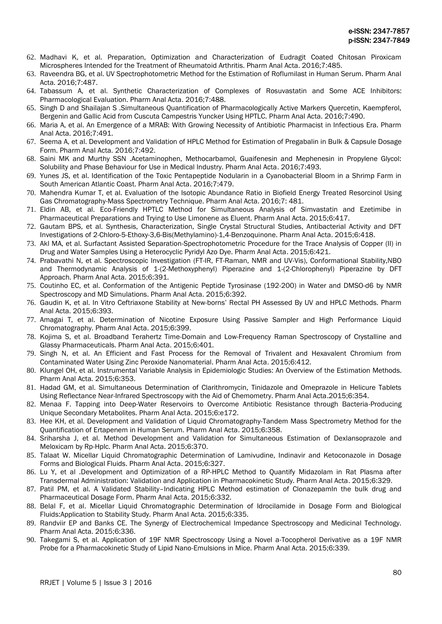- 62. Madhavi K, et al. Preparation, Optimization and Characterization of Eudragit Coated Chitosan Piroxicam Microspheres Intended for the Treatment of Rheumatoid Arthritis. Pharm Anal Acta. 2016;7:485.
- 63. Raveendra BG, et al. UV Spectrophotometric Method for the Estimation of Roflumilast in Human Serum. Pharm Anal Acta. 2016;7:487.
- 64. Tabassum A, et al. Synthetic Characterization of Complexes of Rosuvastatin and Some ACE Inhibitors: Pharmacological Evaluation. Pharm Anal Acta. 2016;7:488.
- 65. Singh D and Shailajan S .Simultaneous Quantification of Pharmacologically Active Markers Quercetin, Kaempferol, Bergenin and Gallic Acid from Cuscuta Campestris Yuncker Using HPTLC. Pharm Anal Acta. 2016;7:490.
- 66. Maria A, et al. An Emergence of a MRAB: With Growing Necessity of Antibiotic Pharmacist in Infectious Era. Pharm Anal Acta. 2016;7:491.
- 67. Seema A, et al. Development and Validation of HPLC Method for Estimation of Pregabalin in Bulk & Capsule Dosage Form. Pharm Anal Acta. 2016;7:492.
- 68. Saini MK and Murthy SSN .Acetaminophen, Methocarbamol, Guaifenesin and Mephenesin in Propylene Glycol: Solubility and Phase Behaviour for Use in Medical Industry. Pharm Anal Acta. 2016;7:493.
- 69. Yunes JS, et al. Identification of the Toxic Pentapeptide Nodularin in a Cyanobacterial Bloom in a Shrimp Farm in South American Atlantic Coast. Pharm Anal Acta. 2016;7:479.
- 70. Mahendra Kumar T, et al. Evaluation of the Isotopic Abundance Ratio in Biofield Energy Treated Resorcinol Using Gas Chromatography-Mass Spectrometry Technique. Pharm Anal Acta. 2016;7: 481.
- 71. Eldin AB, et al. Eco-Friendly HPTLC Method for Simultaneous Analysis of Simvastatin and Ezetimibe in Pharmaceutical Preparations and Trying to Use Limonene as Eluent. Pharm Anal Acta. 2015;6:417.
- 72. Gautam BPS, et al. Synthesis, Characterization, Single Crystal Structural Studies, Antibacterial Activity and DFT Investigations of 2-Chloro-5-Ethoxy-3,6-Bis(Methylamino)-1,4-Benzoquinone. Pharm Anal Acta. 2015;6:418.
- 73. Akl MA, et al. Surfactant Assisted Separation-Spectrophotometric Procedure for the Trace Analysis of Copper (II) in Drug and Water Samples Using a Heterocyclic Pyridyl Azo Dye. Pharm Anal Acta. 2015;6:421.
- 74. Prabavathi N, et al. Spectroscopic Investigation (FT-IR, FT-Raman, NMR and UV-Vis), Conformational Stability,NBO and Thermodynamic Analysis of 1-(2-Methoxyphenyl) Piperazine and 1-(2-Chlorophenyl) Piperazine by DFT Approach. Pharm Anal Acta. 2015;6:391.
- 75. Coutinho EC, et al. Conformation of the Antigenic Peptide Tyrosinase (192-200) in Water and DMSO-d6 by NMR Spectroscopy and MD Simulations. Pharm Anal Acta. 2015;6:392.
- 76. Gaudin K, et al. In Vitro Ceftriaxone Stability at New-borns' Rectal PH Assessed By UV and HPLC Methods. Pharm Anal Acta. 2015;6:393.
- 77. Amagai T, et al. Determination of Nicotine Exposure Using Passive Sampler and High Performance Liquid Chromatography. Pharm Anal Acta. 2015;6:399.
- 78. Kojima S, et al. Broadband Terahertz Time-Domain and Low-Frequency Raman Spectroscopy of Crystalline and Glassy Pharmaceuticals. Pharm Anal Acta. 2015;6:401.
- 79. Singh N, et al. An Efficient and Fast Process for the Removal of Trivalent and Hexavalent Chromium from Contaminated Water Using Zinc Peroxide Nanomaterial. Pharm Anal Acta. 2015;6:412.
- 80. Klungel OH, et al. Instrumental Variable Analysis in Epidemiologic Studies: An Overview of the Estimation Methods. Pharm Anal Acta. 2015;6:353.
- 81. Hadad GM, et al. Simultaneous Determination of Clarithromycin, Tinidazole and Omeprazole in Helicure Tablets Using Reflectance Near-Infrared Spectroscopy with the Aid of Chemometry. Pharm Anal Acta.2015;6:354.
- 82. Menaa F. Tapping into Deep-Water Reservoirs to Overcome Antibiotic Resistance through Bacteria-Producing Unique Secondary Metabolites. Pharm Anal Acta. 2015;6:e172.
- 83. Hee KH, et al. Development and Validation of Liquid Chromatography-Tandem Mass Spectrometry Method for the Quantification of Ertapenem in Human Serum. Pharm Anal Acta. 2015;6:358.
- 84. Sriharsha J, et al. Method Development and Validation for Simultaneous Estimation of Dexlansoprazole and Meloxicam by Rp-Hplc. Pharm Anal Acta. 2015;6:370.
- 85. Talaat W. Micellar Liquid Chromatographic Determination of Lamivudine, Indinavir and Ketoconazole in Dosage Forms and Biological Fluids. Pharm Anal Acta. 2015;6:327.
- 86. Lu Y, et al .Development and Optimization of a RP-HPLC Method to Quantify Midazolam in Rat Plasma after Transdermal Administration: Validation and Application in Pharmacokinetic Study. Pharm Anal Acta. 2015;6:329.
- 87. Patil PM, et al. A Validated Stability-Indicating HPLC Method estimation of ClonazepamIn the bulk drug and Pharmaceutical Dosage Form. Pharm Anal Acta. 2015;6:332.
- 88. Belal F, et al. Micellar Liquid Chromatographic Determination of Idrocilamide in Dosage Form and Biological Fluids:Application to Stability Study. Pharm Anal Acta. 2015;6:335.
- 89. Randviir EP and Banks CE. The Synergy of Electrochemical Impedance Spectroscopy and Medicinal Technology. Pharm Anal Acta. 2015;6:336.
- 90. Takegami S, et al. Application of 19F NMR Spectroscopy Using a Novel a-Tocopherol Derivative as a 19F NMR Probe for a Pharmacokinetic Study of Lipid Nano-Emulsions in Mice. Pharm Anal Acta. 2015;6:339.